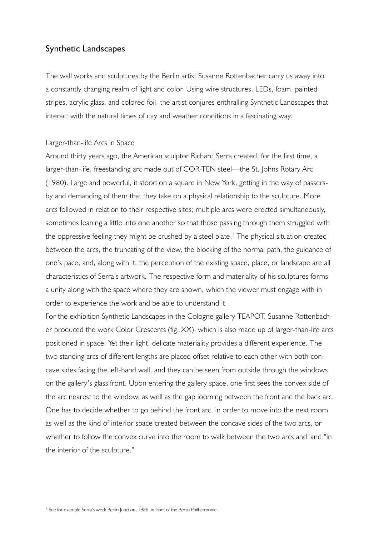# Synthetic Landscapes

The wall works and sculptures by the Berlin artist Susanne Rottenbacher carry us away into a constantly changing realm of light and color. Using wire structures, LEDs, foam, painted stripes, acrylic glass, and colored foil, the artist conjures enthralling Synthetic Landscapes that interact with the natural times of day and weather conditions in a fascinating way.

## Larger-than-life Arcs in Space

Around thirty years ago, the American sculptor Richard Serra created, for the first time, a larger-than-life, freestanding arc made out of COR-TEN steel—the St. Johns Rotary Arc (1980). Large and powerful, it stood on a square in New York, getting in the way of passersby and demanding of them that they take on a physical relationship to the sculpture. More arcs followed in relation to their respective sites; multiple arcs were erected simultaneously, sometimes leaning a little into one another so that those passing through them struggled with the oppressive feeling they might be crushed by a steel plate.<sup>1</sup> The physical situation created between the arcs, the truncating of the view, the blocking of the normal path, the guidance of one's pace, and, along with it, the perception of the existing space, place, or landscape are all characteristics of Serra's artwork. The respective form and materiality of his sculptures forms a unity along with the space where they are shown, which the viewer must engage with in order to experience the work and be able to understand it.

For the exhibition Synthetic Landscapes in the Cologne gallery TEAPOT, Susanne Rottenbacher produced the work Color Crescents (fig. XX), which is also made up of larger-than-life arcs positioned in space. Yet their light, delicate materiality provides a different experience. The two standing arcs of different lengths are placed offset relative to each other with both concave sides facing the left-hand wall, and they can be seen from outside through the windows on the gallery's glass front. Upon entering the gallery space, one first sees the convex side of the arc nearest to the window, as well as the gap looming between the front and the back arc. One has to decide whether to go behind the front arc, in order to move into the next room as well as the kind of interior space created between the concave sides of the two arcs, or whether to follow the convex curve into the room to walk between the two arcs and land "in the interior of the sculpture."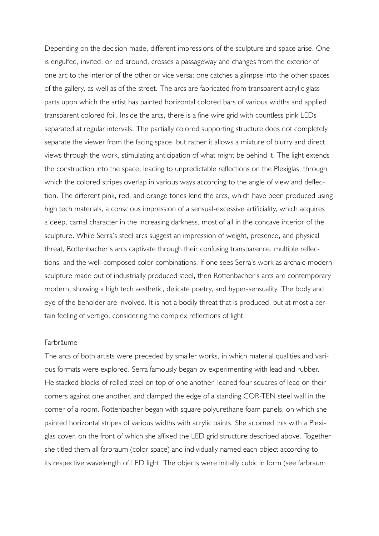Depending on the decision made, different impressions of the sculpture and space arise. One is engulfed, invited, or led around, crosses a passageway and changes from the exterior of one arc to the interior of the other or vice versa; one catches a glimpse into the other spaces of the gallery, as well as of the street. The arcs are fabricated from transparent acrylic glass parts upon which the artist has painted horizontal colored bars of various widths and applied transparent colored foil. Inside the arcs, there is a fine wire grid with countless pink LEDs separated at regular intervals. The partially colored supporting structure does not completely separate the viewer from the facing space, but rather it allows a mixture of blurry and direct views through the work, stimulating anticipation of what might be behind it. The light extends the construction into the space, leading to unpredictable reflections on the Plexiglas, through which the colored stripes overlap in various ways according to the angle of view and deflection. The different pink, red, and orange tones lend the arcs, which have been produced using high tech materials, a conscious impression of a sensual-excessive artificiality, which acquires a deep, carnal character in the increasing darkness, most of all in the concave interior of the sculpture. While Serra's steel arcs suggest an impression of weight, presence, and physical threat, Rottenbacher's arcs captivate through their confusing transparence, multiple reflections, and the well-composed color combinations. If one sees Serra's work as archaic-modern sculpture made out of industrially produced steel, then Rottenbacher's arcs are contemporary modern, showing a high tech aesthetic, delicate poetry, and hyper-sensuality. The body and eye of the beholder are involved. It is not a bodily threat that is produced, but at most a certain feeling of vertigo, considering the complex reflections of light.

#### Farbräume

The arcs of both artists were preceded by smaller works, in which material qualities and various formats were explored. Serra famously began by experimenting with lead and rubber. He stacked blocks of rolled steel on top of one another, leaned four squares of lead on their corners against one another, and clamped the edge of a standing COR-TEN steel wall in the corner of a room. Rottenbacher began with square polyurethane foam panels, on which she painted horizontal stripes of various widths with acrylic paints. She adorned this with a Plexiglas cover, on the front of which she affixed the LED grid structure described above. Together she titled them all farbraum (color space) and individually named each object according to its respective wavelength of LED light. The objects were initially cubic in form (see farbraum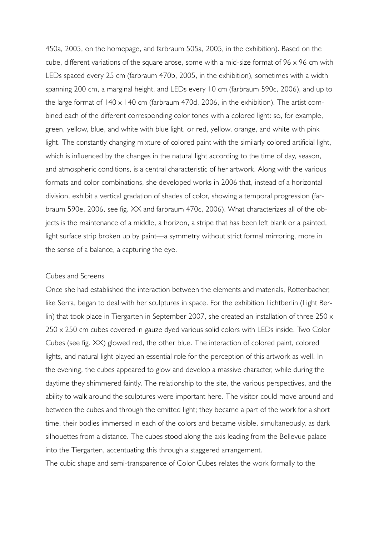450a, 2005, on the homepage, and farbraum 505a, 2005, in the exhibition). Based on the cube, different variations of the square arose, some with a mid-size format of 96 x 96 cm with LEDs spaced every 25 cm (farbraum 470b, 2005, in the exhibition), sometimes with a width spanning 200 cm, a marginal height, and LEDs every 10 cm (farbraum 590c, 2006), and up to the large format of 140 x 140 cm (farbraum 470d, 2006, in the exhibition). The artist combined each of the different corresponding color tones with a colored light: so, for example, green, yellow, blue, and white with blue light, or red, yellow, orange, and white with pink light. The constantly changing mixture of colored paint with the similarly colored artificial light, which is influenced by the changes in the natural light according to the time of day, season, and atmospheric conditions, is a central characteristic of her artwork. Along with the various formats and color combinations, she developed works in 2006 that, instead of a horizontal division, exhibit a vertical gradation of shades of color, showing a temporal progression (farbraum 590e, 2006, see fig. XX and farbraum 470c, 2006). What characterizes all of the objects is the maintenance of a middle, a horizon, a stripe that has been left blank or a painted, light surface strip broken up by paint—a symmetry without strict formal mirroring, more in the sense of a balance, a capturing the eye.

### Cubes and Screens

Once she had established the interaction between the elements and materials, Rottenbacher, like Serra, began to deal with her sculptures in space. For the exhibition Lichtberlin (Light Berlin) that took place in Tiergarten in September 2007, she created an installation of three 250 x 250 x 250 cm cubes covered in gauze dyed various solid colors with LEDs inside. Two Color Cubes (see fig. XX) glowed red, the other blue. The interaction of colored paint, colored lights, and natural light played an essential role for the perception of this artwork as well. In the evening, the cubes appeared to glow and develop a massive character, while during the daytime they shimmered faintly. The relationship to the site, the various perspectives, and the ability to walk around the sculptures were important here. The visitor could move around and between the cubes and through the emitted light; they became a part of the work for a short time, their bodies immersed in each of the colors and became visible, simultaneously, as dark silhouettes from a distance. The cubes stood along the axis leading from the Bellevue palace into the Tiergarten, accentuating this through a staggered arrangement.

The cubic shape and semi-transparence of Color Cubes relates the work formally to the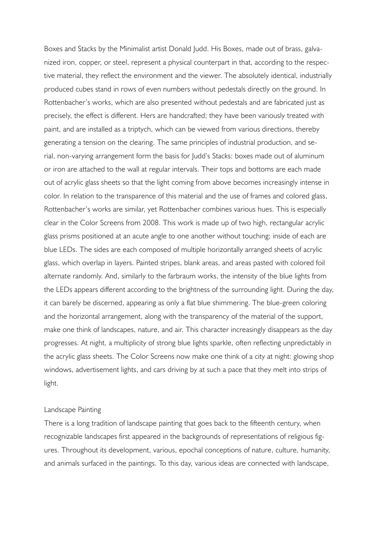Boxes and Stacks by the Minimalist artist Donald Judd. His Boxes, made out of brass, galvanized iron, copper, or steel, represent a physical counterpart in that, according to the respective material, they reflect the environment and the viewer. The absolutely identical, industrially produced cubes stand in rows of even numbers without pedestals directly on the ground. In Rottenbacher's works, which are also presented without pedestals and are fabricated just as precisely, the effect is different. Hers are handcrafted; they have been variously treated with paint, and are installed as a triptych, which can be viewed from various directions, thereby generating a tension on the clearing. The same principles of industrial production, and serial, non-varying arrangement form the basis for Judd's Stacks: boxes made out of aluminum or iron are attached to the wall at regular intervals. Their tops and bottoms are each made out of acrylic glass sheets so that the light coming from above becomes increasingly intense in color. In relation to the transparence of this material and the use of frames and colored glass, Rottenbacher's works are similar, yet Rottenbacher combines various hues. This is especially clear in the Color Screens from 2008. This work is made up of two high, rectangular acrylic glass prisms positioned at an acute angle to one another without touching; inside of each are blue LEDs. The sides are each composed of multiple horizontally arranged sheets of acrylic glass, which overlap in layers. Painted stripes, blank areas, and areas pasted with colored foil alternate randomly. And, similarly to the farbraum works, the intensity of the blue lights from the LEDs appears different according to the brightness of the surrounding light. During the day, it can barely be discerned, appearing as only a flat blue shimmering. The blue-green coloring and the horizontal arrangement, along with the transparency of the material of the support, make one think of landscapes, nature, and air. This character increasingly disappears as the day progresses. At night, a multiplicity of strong blue lights sparkle, often reflecting unpredictably in the acrylic glass sheets. The Color Screens now make one think of a city at night: glowing shop windows, advertisement lights, and cars driving by at such a pace that they melt into strips of light.

#### Landscape Painting

There is a long tradition of landscape painting that goes back to the fifteenth century, when recognizable landscapes first appeared in the backgrounds of representations of religious figures. Throughout its development, various, epochal conceptions of nature, culture, humanity, and animals surfaced in the paintings. To this day, various ideas are connected with landscape,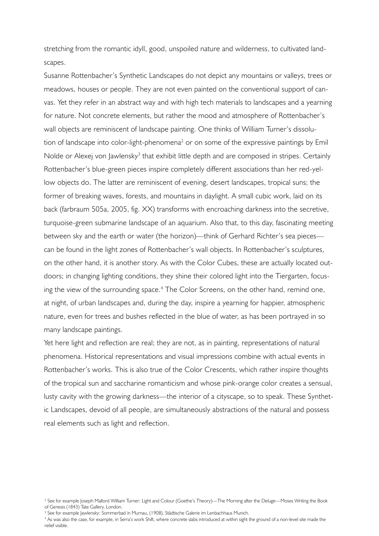stretching from the romantic idyll, good, unspoiled nature and wilderness, to cultivated landscapes.

Susanne Rottenbacher's Synthetic Landscapes do not depict any mountains or valleys, trees or meadows, houses or people. They are not even painted on the conventional support of canvas. Yet they refer in an abstract way and with high tech materials to landscapes and a yearning for nature. Not concrete elements, but rather the mood and atmosphere of Rottenbacher's wall objects are reminiscent of landscape painting. One thinks of William Turner's dissolution of landscape into color-light-phenomena<sup>2</sup> or on some of the expressive paintings by Emil Nolde or Alexej von Jawlensky<sup>3</sup> that exhibit little depth and are composed in stripes. Certainly Rottenbacher's blue-green pieces inspire completely different associations than her red-yellow objects do. The latter are reminiscent of evening, desert landscapes, tropical suns; the former of breaking waves, forests, and mountains in daylight. A small cubic work, laid on its back (farbraum 505a, 2005, fig. XX) transforms with encroaching darkness into the secretive, turquoise-green submarine landscape of an aquarium. Also that, to this day, fascinating meeting between sky and the earth or water (the horizon)—think of Gerhard Richter's sea pieces can be found in the light zones of Rottenbacher's wall objects. In Rottenbacher's sculptures, on the other hand, it is another story. As with the Color Cubes, these are actually located outdoors; in changing lighting conditions, they shine their colored light into the Tiergarten, focusing the view of the surrounding space.<sup>4</sup> The Color Screens, on the other hand, remind one, at night, of urban landscapes and, during the day, inspire a yearning for happier, atmospheric nature, even for trees and bushes reflected in the blue of water, as has been portrayed in so many landscape paintings.

Yet here light and reflection are real; they are not, as in painting, representations of natural phenomena. Historical representations and visual impressions combine with actual events in Rottenbacher's works. This is also true of the Color Crescents, which rather inspire thoughts of the tropical sun and saccharine romanticism and whose pink-orange color creates a sensual, lusty cavity with the growing darkness—the interior of a cityscape, so to speak. These Synthetic Landscapes, devoid of all people, are simultaneously abstractions of the natural and possess real elements such as light and reflection.

4 As was also the case, for example, in Serra's work Shift, where concrete slabs introduced at within sight the ground of a non-level site made the relief visible.

<sup>2</sup> See for example Joseph Mallord William Turner: Light and Colour (Goethe's Theory)—The Morning after the Deluge—Moses Writing the Book of Genesis (1843) Tate Gallery, London.

<sup>3</sup> See for example Jawlensky: Sommerbad in Murnau, (1908), Städtische Galerie im Lenbachhaus Munich.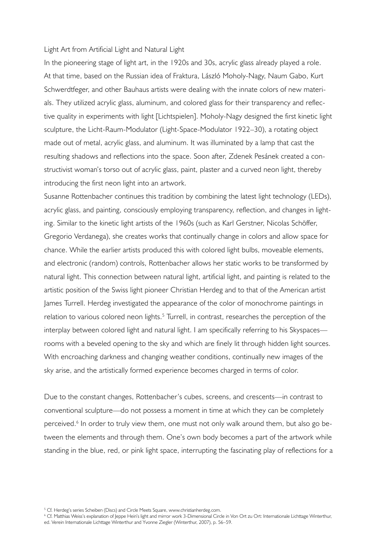#### Light Art from Artificial Light and Natural Light

In the pioneering stage of light art, in the 1920s and 30s, acrylic glass already played a role. At that time, based on the Russian idea of Fraktura, László Moholy-Nagy, Naum Gabo, Kurt Schwerdtfeger, and other Bauhaus artists were dealing with the innate colors of new materials. They utilized acrylic glass, aluminum, and colored glass for their transparency and reflective quality in experiments with light [Lichtspielen]. Moholy-Nagy designed the first kinetic light sculpture, the Licht-Raum-Modulator (Light-Space-Modulator 1922–30), a rotating object made out of metal, acrylic glass, and aluminum. It was illuminated by a lamp that cast the resulting shadows and reflections into the space. Soon after, Zdenek Pesánek created a constructivist woman's torso out of acrylic glass, paint, plaster and a curved neon light, thereby introducing the first neon light into an artwork.

Susanne Rottenbacher continues this tradition by combining the latest light technology (LEDs), acrylic glass, and painting, consciously employing transparency, reflection, and changes in lighting. Similar to the kinetic light artists of the 1960s (such as Karl Gerstner, Nicolas Schöffer, Gregorio Verdanega), she creates works that continually change in colors and allow space for chance. While the earlier artists produced this with colored light bulbs, moveable elements, and electronic (random) controls, Rottenbacher allows her static works to be transformed by natural light. This connection between natural light, artificial light, and painting is related to the artistic position of the Swiss light pioneer Christian Herdeg and to that of the American artist James Turrell. Herdeg investigated the appearance of the color of monochrome paintings in relation to various colored neon lights.<sup>5</sup> Turrell, in contrast, researches the perception of the interplay between colored light and natural light. I am specifically referring to his Skyspaces rooms with a beveled opening to the sky and which are finely lit through hidden light sources. With encroaching darkness and changing weather conditions, continually new images of the sky arise, and the artistically formed experience becomes charged in terms of color.

Due to the constant changes, Rottenbacher's cubes, screens, and crescents—in contrast to conventional sculpture—do not possess a moment in time at which they can be completely perceived.<sup>6</sup> In order to truly view them, one must not only walk around them, but also go between the elements and through them. One's own body becomes a part of the artwork while standing in the blue, red, or pink light space, interrupting the fascinating play of reflections for a

<sup>5</sup> Cf. Herdeg's series Scheiben (Discs) and Circle Meets Square, www.christianherdeg.com.

<sup>6</sup> Cf. Matthias Weiss's explanation of Jeppe Hein's light and mirror work 3-Dimensional Circle in Von Ort zu Ort: Internationale Lichttage Winterthur, ed. Verein Internationale Lichttage Winterthur and Yvonne Ziegler (Winterthur, 2007), p. 56–59.